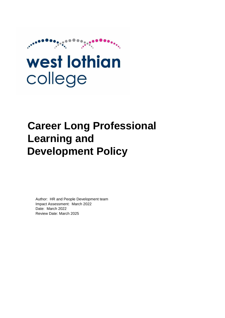

# west lothian college

# **Career Long Professional Learning and Development Policy**

Author: HR and People Development team Impact Assessment: March 2022 Date: March 2022 Review Date: March 2025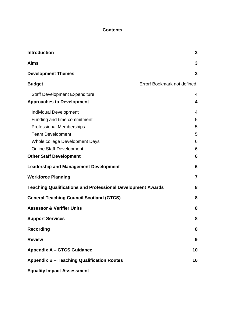#### **Contents**

| <b>Introduction</b>                                                | 3                            |
|--------------------------------------------------------------------|------------------------------|
| <b>Aims</b>                                                        | 3                            |
| <b>Development Themes</b>                                          | 3                            |
| <b>Budget</b>                                                      | Error! Bookmark not defined. |
| <b>Staff Development Expenditure</b>                               | 4                            |
| <b>Approaches to Development</b>                                   | $\overline{\mathbf{4}}$      |
| <b>Individual Development</b>                                      | 4                            |
| Funding and time commitment                                        | 5                            |
| <b>Professional Memberships</b>                                    | 5                            |
| <b>Team Development</b>                                            | 5                            |
| Whole college Development Days                                     | 6                            |
| <b>Online Staff Development</b>                                    | 6                            |
| <b>Other Staff Development</b>                                     | 6                            |
| <b>Leadership and Management Development</b>                       | 6                            |
| <b>Workforce Planning</b>                                          | $\overline{7}$               |
| <b>Teaching Qualifications and Professional Development Awards</b> | 8                            |
| <b>General Teaching Council Scotland (GTCS)</b>                    | 8                            |
| <b>Assessor &amp; Verifier Units</b>                               | 8                            |
| <b>Support Services</b>                                            | 8                            |
| <b>Recording</b>                                                   | 8                            |
| <b>Review</b>                                                      | 9                            |
| <b>Appendix A - GTCS Guidance</b>                                  | 10                           |
| <b>Appendix B - Teaching Qualification Routes</b>                  | 16                           |
| <b>Equality Impact Assessment</b>                                  |                              |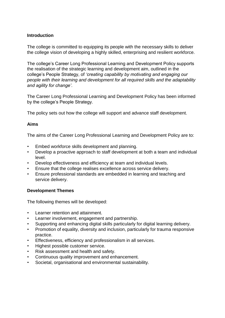#### <span id="page-2-0"></span>**Introduction**

The college is committed to equipping its people with the necessary skills to deliver the college vision of developing a highly skilled, enterprising and resilient workforce.

The college's Career Long Professional Learning and Development Policy supports the realisation of the strategic learning and development aim, outlined in the college's People Strategy, of *'creating capability by motivating and engaging our people with their learning and development for all required skills and the adaptability and agility for change'*.

The Career Long Professional Learning and Development Policy has been informed by the college's People Strategy.

The policy sets out how the college will support and advance staff development.

#### <span id="page-2-1"></span>**Aims**

The aims of the Career Long Professional Learning and Development Policy are to:

- Embed workforce skills development and planning.
- Develop a proactive approach to staff development at both a team and individual level.
- Develop effectiveness and efficiency at team and individual levels.
- Ensure that the college realises excellence across service delivery.
- Ensure professional standards are embedded in learning and teaching and service delivery.

#### <span id="page-2-2"></span>**Development Themes**

The following themes will be developed:

- Learner retention and attainment.
- Learner involvement, engagement and partnership.
- Supporting and enhancing digital skills particularly for digital learning delivery.
- Promotion of equality, diversity and inclusion, particularly for trauma responsive practice.
- Effectiveness, efficiency and professionalism in all services.
- Highest possible customer service.
- Risk assessment and health and safety.
- Continuous quality improvement and enhancement.
- Societal, organisational and environmental sustainability.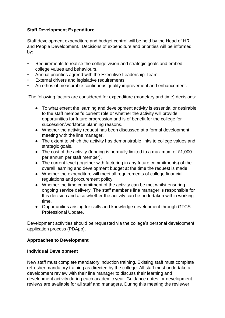#### <span id="page-3-0"></span>**Staff Development Expenditure**

Staff development expenditure and budget control will be held by the Head of HR and People Development. Decisions of expenditure and priorities will be informed by:

- Requirements to realise the college vision and strategic goals and embed college values and behaviours.
- Annual priorities agreed with the Executive Leadership Team.
- External drivers and legislative requirements.
- An ethos of measurable continuous quality improvement and enhancement.

The following factors are considered for expenditure (monetary and time) decisions:

- To what extent the learning and development activity is essential or desirable to the staff member's current role or whether the activity will provide opportunities for future progression and is of benefit for the college for succession/workforce planning reasons.
- Whether the activity request has been discussed at a formal development meeting with the line manager.
- The extent to which the activity has demonstrable links to college values and strategic goals.
- The cost of the activity (funding is normally limited to a maximum of £1,000 per annum per staff member).
- The current level (together with factoring in any future commitments) of the overall learning and development budget at the time the request is made.
- Whether the expenditure will meet all requirements of college financial regulations and procurement policy.
- Whether the time commitment of the activity can be met whilst ensuring ongoing service delivery. The staff member's line manager is responsible for this decision and also whether the activity can be undertaken within working time.
- Opportunities arising for skills and knowledge development through GTCS Professional Update.

Development activities should be requested via the college's personal development application process (PDApp).

#### <span id="page-3-1"></span>**Approaches to Development**

#### <span id="page-3-2"></span>**Individual Development**

New staff must complete mandatory induction training. Existing staff must complete refresher mandatory training as directed by the college. All staff must undertake a development review with their line manager to discuss their learning and development activity during each academic year. Guidance notes for development reviews are available for all staff and managers. During this meeting the reviewer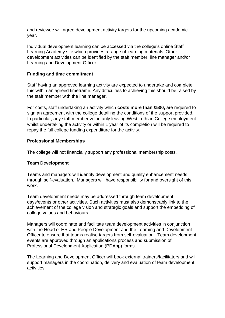and reviewee will agree development activity targets for the upcoming academic year.

Individual development learning can be accessed via the college's online Staff Learning Academy site which provides a range of learning materials. Other development activities can be identified by the staff member, line manager and/or Learning and Development Officer.

#### <span id="page-4-0"></span>**Funding and time commitment**

Staff having an approved learning activity are expected to undertake and complete this within an agreed timeframe. Any difficulties to achieving this should be raised by the staff member with the line manager.

For costs, staff undertaking an activity which **costs more than £500,** are required to sign an agreement with the college detailing the conditions of the support provided. In particular, any staff member voluntarily leaving West Lothian College employment whilst undertaking the activity or within 1 year of its completion will be required to repay the full college funding expenditure for the activity.

#### <span id="page-4-1"></span>**Professional Memberships**

The college will not financially support any professional membership costs.

#### <span id="page-4-2"></span>**Team Development**

Teams and managers will identify development and quality enhancement needs through self-evaluation. Managers will have responsibility for and oversight of this work.

Team development needs may be addressed through team development days/events or other activities. Such activities must also demonstrably link to the achievement of the college vision and strategic goals and support the embedding of college values and behaviours.

Managers will coordinate and facilitate team development activities in conjunction with the Head of HR and People Development and the Learning and Development Officer to ensure that teams realise targets from self-evaluation. Team development events are approved through an applications process and submission of Professional Development Application (PDApp) forms.

The Learning and Development Officer will book external trainers/facilitators and will support managers in the coordination, delivery and evaluation of team development activities.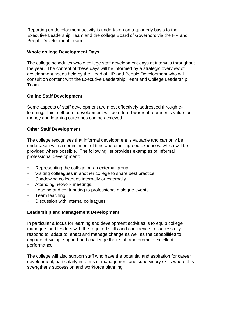Reporting on development activity is undertaken on a quarterly basis to the Executive Leadership Team and the college Board of Governors via the HR and People Development Team.

#### <span id="page-5-0"></span>**Whole college Development Days**

The college schedules whole college staff development days at intervals throughout the year. The content of these days will be informed by a strategic overview of development needs held by the Head of HR and People Development who will consult on content with the Executive Leadership Team and College Leadership Team.

#### <span id="page-5-1"></span>**Online Staff Development**

Some aspects of staff development are most effectively addressed through elearning. This method of development will be offered where it represents value for money and learning outcomes can be achieved.

#### <span id="page-5-2"></span>**Other Staff Development**

The college recognises that informal development is valuable and can only be undertaken with a commitment of time and other agreed expenses, which will be provided where possible. The following list provides examples of informal professional development:

- Representing the college on an external group.
- Visiting colleagues in another college to share best practice.
- Shadowing colleagues internally or externally.
- Attending network meetings.
- Leading and contributing to professional dialogue events.
- Team teaching.
- Discussion with internal colleagues.

#### <span id="page-5-3"></span>**Leadership and Management Development**

In particular a focus for learning and development activities is to equip college managers and leaders with the required skills and confidence to successfully respond to, adapt to, enact and manage change as well as the capabilities to engage, develop, support and challenge their staff and promote excellent performance.

The college will also support staff who have the potential and aspiration for career development, particularly in terms of management and supervisory skills where this strengthens succession and workforce planning.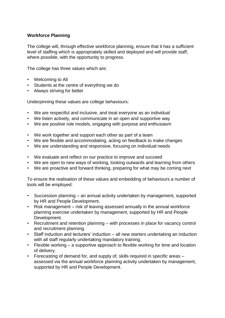#### <span id="page-6-0"></span>**Workforce Planning**

The college will, through effective workforce planning, ensure that it has a sufficient level of staffing which is appropriately skilled and deployed and will provide staff, where possible, with the opportunity to progress.

The college has three values which are:

- Welcoming to All
- Students at the centre of everything we do
- Always striving for better

Underpinning these values are college behaviours:

- We are respectful and inclusive, and treat everyone as an individual
- We listen actively, and communicate in an open and supportive way
- We are positive role models, engaging with purpose and enthusiasm
- We work together and support each other as part of a team
- We are flexible and accommodating, acting on feedback to make changes
- We are understanding and responsive, focusing on individual needs
- We evaluate and reflect on our practice to improve and succeed
- We are open to new ways of working, looking outwards and learning from others
- We are proactive and forward thinking, preparing for what may be coming next

To ensure the realisation of these values and embedding of behaviours a number of tools will be employed:

- Succession planning an annual activity undertaken by management, supported by HR and People Development.
- Risk management risk of leaving assessed annually in the annual workforce planning exercise undertaken by management, supported by HR and People Development.
- Recruitment and retention planning with processes in place for vacancy control and recruitment planning.
- Staff induction and lecturers' induction all new starters undertaking an induction with all staff regularly undertaking mandatory training.
- Flexible working a supportive approach to flexible working for time and location of delivery.
- Forecasting of demand for, and supply of, skills required in specific areas assessed via the annual workforce planning activity undertaken by management, supported by HR and People Development.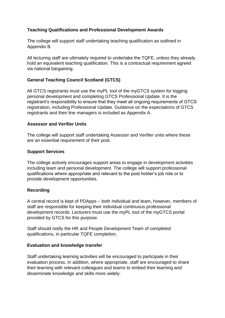#### <span id="page-7-0"></span>**Teaching Qualifications and Professional Development Awards**

The college will support staff undertaking teaching qualification as outlined in Appendix B.

All lecturing staff are ultimately required to undertake the TQFE, unless they already hold an equivalent teaching qualification. This is a contractual requirement agreed via national bargaining.

#### <span id="page-7-1"></span>**General Teaching Council Scotland (GTCS)**

All GTCS registrants must use the myPL tool of the myGTCS system for logging personal development and completing GTCS Professional Update. It is the registrant's responsibility to ensure that they meet all ongoing requirements of GTCS registration, including Professional Update. Guidance on the expectations of GTCS registrants and their line managers is included as Appendix A.

#### <span id="page-7-2"></span>**Assessor and Verifier Units**

The college will support staff undertaking Assessor and Verifier units where these are an essential requirement of their post.

#### <span id="page-7-3"></span>**Support Services**

The college actively encourages support areas to engage in development activities including team and personal development. The college will support professional qualifications where appropriate and relevant to the post holder's job role or to provide development opportunities.

#### <span id="page-7-4"></span>**Recording**

A central record is kept of PDApps – both individual and team, however, members of staff are responsible for keeping their individual continuous professional development records. Lecturers must use the myPL tool of the myGTCS portal provided by GTCS for this purpose.

Staff should notify the HR and People Development Team of completed qualifications, in particular TQFE completion.

#### **Evaluation and knowledge transfer**

Staff undertaking learning activities will be encouraged to participate in their evaluation process. In addition, where appropriate, staff are encouraged to share their learning with relevant colleagues and teams to embed their learning and disseminate knowledge and skills more widely.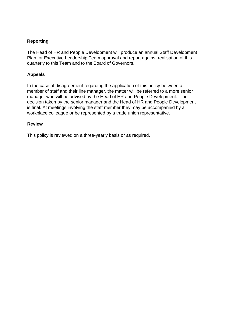#### **Reporting**

The Head of HR and People Development will produce an annual Staff Development Plan for Executive Leadership Team approval and report against realisation of this quarterly to this Team and to the Board of Governors.

#### **Appeals**

In the case of disagreement regarding the application of this policy between a member of staff and their line manager, the matter will be referred to a more senior manager who will be advised by the Head of HR and People Development. The decision taken by the senior manager and the Head of HR and People Development is final. At meetings involving the staff member they may be accompanied by a workplace colleague or be represented by a trade union representative.

#### <span id="page-8-0"></span>**Review**

This policy is reviewed on a three-yearly basis or as required.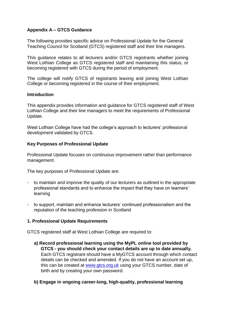#### <span id="page-9-0"></span>**Appendix A – GTCS Guidance**

The following provides specific advice on Professional Update for the General Teaching Council for Scotland (GTCS) registered staff and their line managers.

This guidance relates to all lecturers and/or GTCS registrants whether joining West Lothian College as GTCS registered staff and maintaining this status, or becoming registered with GTCS during the period of employment.

The college will notify GTCS of registrants leaving and joining West Lothian College or becoming registered in the course of their employment.

#### **Introduction**

This appendix provides information and guidance for GTCS registered staff of West Lothian College and their line managers to meet the requirements of Professional Update.

West Lothian College have had the college's approach to lecturers' professional development validated by GTCS.

#### **Key Purposes of Professional Update**

Professional Update focuses on continuous improvement rather than performance management.

The key purposes of Professional Update are:

- to maintain and improve the quality of our lecturers as outlined in the appropriate professional standards and to enhance the impact that they have on learners' learning
- to support, maintain and enhance lecturers' continued professionalism and the reputation of the teaching profession in Scotland

#### **1. Professional Update Requirements**

GTCS registered staff at West Lothian College are required to:

- **a) Record professional learning using the MyPL online tool provided by GTCS - you should check your contact details are up to date annually.** Each GTCS registrant should have a MyGTCS account through which contact details can be checked and amended. If you do not have an account set up, this can be created at [www.gtcs.org.uk](http://www.gtcs.org.uk/) using your GTCS number, date of birth and by creating your own password.
- **b) Engage in ongoing career-long, high-quality, professional learning**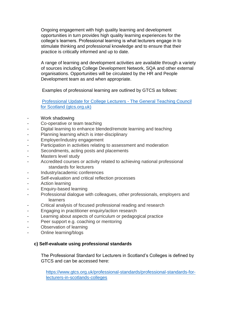Ongoing engagement with high quality learning and development opportunities in turn provides high quality learning experiences for the college's learners. Professional learning is what lecturers engage in to stimulate thinking and professional knowledge and to ensure that their practice is critically informed and up to date.

A range of learning and development activities are available through a variety of sources including College Development Network, SQA and other external organisations. Opportunities will be circulated by the HR and People Development team as and when appropriate.

Examples of professional learning are outlined by GTCS as follows:

[Professional Update for College Lecturers -](https://www.gtcs.org.uk/college/professional-update-for-college-lecturers/) The General Teaching Council [for Scotland \(gtcs.org.uk\)](https://www.gtcs.org.uk/college/professional-update-for-college-lecturers/)

- Work shadowing
- Co-operative or team teaching
- Digital learning to enhance blended/remote learning and teaching
- Planning learning which is inter-disciplinary
- Employer/industry engagement
- Participation in activities relating to assessment and moderation
- Secondments, acting posts and placements
- Masters level study
- Accredited courses or activity related to achieving national professional standards for lecturers
- Industry/academic conferences
- Self-evaluation and critical reflection processes
- Action learning
- Enquiry-based learning
- Professional dialogue with colleagues, other professionals, employers and learners
- Critical analysis of focused professional reading and research
- Engaging in practitioner enquiry/action research
- Learning about aspects of curriculum or pedagogical practice
- Peer support e.g. coaching or mentoring
- Observation of learning
- Online learning/blogs

#### **c) Self-evaluate using professional standards**

The Professional Standard for Lecturers in Scotland's Colleges is defined by GTCS and can be accessed here:

[https://www.gtcs.org.uk/professional-standards/professional-standards-for](https://www.gtcs.org.uk/professional-standards/professional-standards-for-lecturers-in-scotlands-colleges)[lecturers-in-scotlands-colleges](https://www.gtcs.org.uk/professional-standards/professional-standards-for-lecturers-in-scotlands-colleges)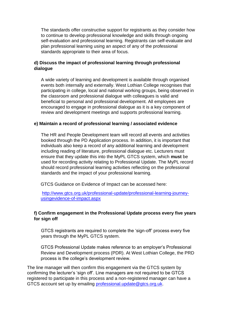The standards offer constructive support for registrants as they consider how to continue to develop professional knowledge and skills through ongoing self-evaluation and professional learning. Registrants can self-evaluate and plan professional learning using an aspect of any of the professional standards appropriate to their area of focus.

#### **d) Discuss the impact of professional learning through professional dialogue**

A wide variety of learning and development is available through organised events both internally and externally. West Lothian College recognises that participating in college, local and national working groups, being observed in the classroom and professional dialogue with colleagues is valid and beneficial to personal and professional development. All employees are encouraged to engage in professional dialogue as it is a key component of review and development meetings and supports professional learning.

#### **e) Maintain a record of professional learning / associated evidence**

The HR and People Development team will record all events and activities booked through the PD Application process. In addition, it is important that individuals also keep a record of any additional learning and development including reading of literature, professional dialogue etc. Lecturers must ensure that they update this into the MyPL GTCS system, which **must** be used for recording activity relating to Professional Update. The MyPL record should record professional learning activities reflecting on the professional standards and the impact of your professional learning.

GTCS Guidance on Evidence of Impact can be accessed here:

[http://www.gtcs.org.uk/professional-update/professional-learning-journey](http://www.gtcs.org.uk/professional-update/professional-learning-journey-using-evidence-of-impact.aspx)[usingevidence-of-impact.aspx](http://www.gtcs.org.uk/professional-update/professional-learning-journey-using-evidence-of-impact.aspx) 

#### **f) Confirm engagement in the Professional Update process every five years for sign off**

GTCS registrants are required to complete the 'sign-off' process every five years through the MyPL GTCS system.

GTCS Professional Update makes reference to an employer's Professional Review and Development process (PDR). At West Lothian College, the PRD process is the college's development review.

The line manager will then confirm this engagement via the GTCS system by confirming the lecturer's 'sign off'. Line managers are not required to be GTCS registered to participate in this process and a non-registered manager can have a GTCS account set up by emailing professional.update@gtcs.org.uk.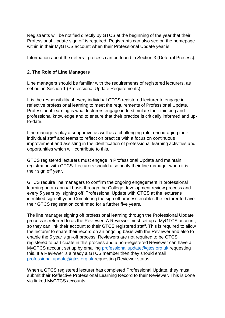Registrants will be notified directly by GTCS at the beginning of the year that their Professional Update sign off is required. Registrants can also see on the homepage within in their MyGTCS account when their Professional Update year is.

Information about the deferral process can be found in Section 3 (Deferral Process).

#### **2. The Role of Line Managers**

Line managers should be familiar with the requirements of registered lecturers, as set out in Section 1 (Professional Update Requirements).

It is the responsibility of every individual GTCS registered lecturer to engage in reflective professional learning to meet the requirements of Professional Update. Professional learning is what lecturers engage in to stimulate their thinking and professional knowledge and to ensure that their practice is critically informed and upto-date.

Line managers play a supportive as well as a challenging role, encouraging their individual staff and teams to reflect on practice with a focus on continuous improvement and assisting in the identification of professional learning activities and opportunities which will contribute to this.

GTCS registered lecturers must engage in Professional Update and maintain registration with GTCS. Lecturers should also notify their line manager when it is their sign off year.

GTCS require line managers to confirm the ongoing engagement in professional learning on an annual basis through the College development review process and every 5 years by 'signing off' Professional Update with GTCS at the lecturer's identified sign-off year. Completing the sign off process enables the lecturer to have their GTCS registration confirmed for a further five years.

The line manager signing off professional learning through the Professional Update process is referred to as the Reviewer. A Reviewer must set up a MyGTCS account, so they can link their account to their GTCS registered staff. This is required to allow the lecturer to share their record on an ongoing basis with the Reviewer and also to enable the 5 year sign-off process. Reviewers are not required to be GTCS registered to participate in this process and a non-registered Reviewer can have a MyGTCS account set up by emailing [professional.update@gtcs.org.uk](mailto:professional.update@gtcs.org.uk) requesting this. If a Reviewer is already a GTCS member then they should email [professional.update@gtcs.org.uk](mailto:professional.update@gtcs.org.uk) requesting Reviewer status.

When a GTCS registered lecturer has completed Professional Update, they must submit their Reflective Professional Learning Record to their Reviewer. This is done via linked MyGTCS accounts.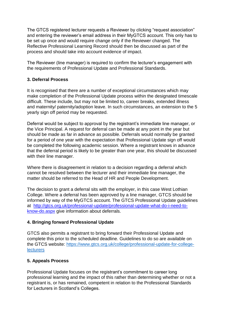The GTCS registered lecturer requests a Reviewer by clicking "request association" and entering the reviewer's email address in their MyGTCS account. This only has to be set up once and would require change only if the Reviewer changed. The Reflective Professional Learning Record should then be discussed as part of the process and should take into account evidence of impact.

The Reviewer (line manager) is required to confirm the lecturer's engagement with the requirements of Professional Update and Professional Standards.

#### **3. Deferral Process**

It is recognised that there are a number of exceptional circumstances which may make completion of the Professional Update process within the designated timescale difficult. These include, but may not be limited to, career breaks, extended illness and maternity/ paternity/adoption leave. In such circumstances, an extension to the 5 yearly sign off period may be requested.

Deferral would be subject to approval by the registrant's immediate line manager, or the Vice Principal. A request for deferral can be made at any point in the year but should be made as far in advance as possible. Deferrals would normally be granted for a period of one year with the expectation that Professional Update sign off would be completed the following academic session. Where a registrant knows in advance that the deferral period is likely to be greater than one year, this should be discussed with their line manager.

Where there is disagreement in relation to a decision regarding a deferral which cannot be resolved between the lecturer and their immediate line manager, the matter should be referred to the Head of HR and People Development.

The decision to grant a deferral sits with the employer, in this case West Lothian College. Where a deferral has been approved by a line manager, GTCS should be informed by way of the MyGTCS account. The GTCS Professional Update guidelines at [http://gtcs.org.uk/professional-update/professional-update-what-do-i-need-to](http://gtcs.org.uk/professional-update/professional-update-what-do-i-need-to-know-do.aspx)[know-do.aspx](http://gtcs.org.uk/professional-update/professional-update-what-do-i-need-to-know-do.aspx) give information about deferrals.

#### **4. Bringing forward Professional Update**

GTCS also permits a registrant to bring forward their Professional Update and complete this prior to the scheduled deadline. Guidelines to do so are available on the GTCS website: [https://www.gtcs.org.uk/college/professional-update-for-college](https://www.gtcs.org.uk/college/professional-update-for-college-lecturers)**[lecturers](https://www.gtcs.org.uk/college/professional-update-for-college-lecturers)** 

#### **5. Appeals Process**

Professional Update focuses on the registrant's commitment to career long professional learning and the impact of this rather than determining whether or not a registrant is, or has remained, competent in relation to the Professional Standards for Lecturers in Scotland's Colleges.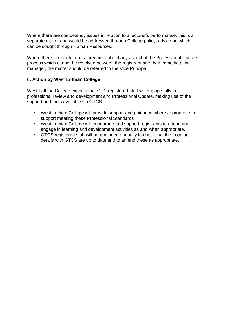Where there are competency issues in relation to a lecturer's performance, this is a separate matter and would be addressed through College policy, advice on which can be sought through Human Resources.

Where there is dispute or disagreement about any aspect of the Professional Update process which cannot be resolved between the registrant and their immediate line manager, the matter should be referred to the Vice Principal.

#### **6. Action by West Lothian College**

West Lothian College expects that GTC registered staff will engage fully in professional review and development and Professional Update, making use of the support and tools available via GTCS.

- West Lothian College will provide support and guidance where appropriate to support meeting these Professional Standards
- West Lothian College will encourage and support registrants to attend and engage in learning and development activities as and when appropriate.
- GTCS registered staff will be reminded annually to check that their contact details with GTCS are up to date and to amend these as appropriate.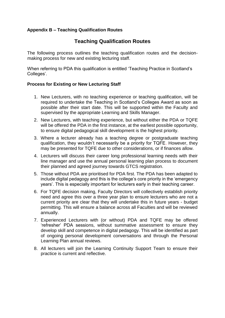#### <span id="page-15-0"></span>**Appendix B – Teaching Qualification Routes**

### **Teaching Qualification Routes**

The following process outlines the teaching qualification routes and the decisionmaking process for new and existing lecturing staff.

When referring to PDA this qualification is entitled 'Teaching Practice in Scotland's Colleges'.

#### **Process for Existing or New Lecturing Staff**

- 1. New Lecturers, with no teaching experience or teaching qualification, will be required to undertake the Teaching in Scotland's Colleges Award as soon as possible after their start date. This will be supported within the Faculty and supervised by the appropriate Learning and Skills Manager.
- 2. New Lecturers, with teaching experience, but without either the PDA or TQFE will be offered the PDA in the first instance, at the earliest possible opportunity, to ensure digital pedagogical skill development is the highest priority.
- 3. Where a lecturer already has a teaching degree or postgraduate teaching qualification, they wouldn't necessarily be a priority for TQFE. However, they may be presented for TQFE due to other considerations, or if finances allow.
- 4. Lecturers will discuss their career long professional learning needs with their line manager and use the annual personal learning plan process to document their planned and agreed journey towards GTCS registration.
- 5. Those without PDA are prioritised for PDA first. The PDA has been adapted to include digital pedagogy and this is the college's core priority in the 'emergency years'. This is especially important for lecturers early in their teaching career.
- 6. For TQFE decision making, Faculty Directors will collectively establish priority need and agree this over a three year plan to ensure lecturers who are not a current priority are clear that they will undertake this in future years - budget permitting. This will ensure a balance across all Faculties and will be reviewed annually.
- 7. Experienced Lecturers with (or without) PDA and TQFE may be offered 'refresher' PDA sessions, without summative assessment to ensure they develop skill and competence in digital pedagogy. This will be identified as part of ongoing personal development conversations and through the Personal Learning Plan annual reviews.
- 8. All lecturers will join the Learning Continuity Support Team to ensure their practice is current and reflective.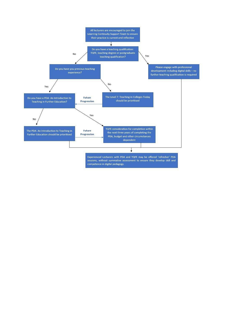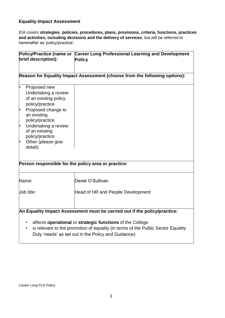#### <span id="page-17-0"></span>**Equality Impact Assessment**

EIA covers **strategies**, **policies, procedures, plans, provisions, criteria, functions, practices and activities, including decisions and the delivery of services**, but will be referred to hereinafter as 'policy/practice'.

| brief description):                                                                                                                                                                                                                                            | Policy/Practice (name or Career Long Professional Learning and Development<br><b>Policy</b> |  |  |  |
|----------------------------------------------------------------------------------------------------------------------------------------------------------------------------------------------------------------------------------------------------------------|---------------------------------------------------------------------------------------------|--|--|--|
| Reason for Equality Impact Assessment (choose from the following options):                                                                                                                                                                                     |                                                                                             |  |  |  |
| ŀ<br>Proposed new<br>Undertaking a review<br>of an existing policy.<br>policy/practice<br>Proposed change to<br>ŀ.<br>an existing<br>policy/practice<br>Undertaking a review<br>ŀ.<br>of an existing<br>policy/practice<br>Other (please give<br>ŀ<br>detail): |                                                                                             |  |  |  |
| Person responsible for the policy area or practice:                                                                                                                                                                                                            |                                                                                             |  |  |  |
| Name:                                                                                                                                                                                                                                                          | Derek O'Sullivan                                                                            |  |  |  |
| Job title:                                                                                                                                                                                                                                                     | Head of HR and People Development                                                           |  |  |  |
| An Equality Impact Assessment must be carried out if the policy/practice:<br>affects operational or strategic functions of the College                                                                                                                         |                                                                                             |  |  |  |

• is relevant to the promotion of equality (in terms of the Public Sector Equality Duty 'needs' as set out in the Policy and Guidance)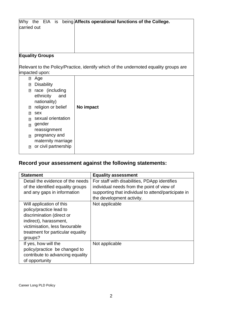| carried out             | Why the EIA is                                      | being Affects operational functions of the College.                                   |  |  |
|-------------------------|-----------------------------------------------------|---------------------------------------------------------------------------------------|--|--|
| <b>Equality Groups</b>  |                                                     |                                                                                       |  |  |
|                         |                                                     |                                                                                       |  |  |
|                         |                                                     | Relevant to the Policy/Practice, identify which of the undernoted equality groups are |  |  |
| impacted upon:          |                                                     |                                                                                       |  |  |
| $\overline{2}$          | Age                                                 |                                                                                       |  |  |
| ⊡                       | <b>Disability</b>                                   |                                                                                       |  |  |
| $\overline{\mathbf{E}}$ | race (including<br>ethnicity<br>and<br>nationality) |                                                                                       |  |  |
| n                       | religion or belief                                  | No impact                                                                             |  |  |
| 7                       | sex                                                 |                                                                                       |  |  |
| $\overline{2}$          | sexual orientation                                  |                                                                                       |  |  |
| $\overline{2}$          | gender                                              |                                                                                       |  |  |
|                         | reassignment                                        |                                                                                       |  |  |
| $\overline{P}$          | pregnancy and                                       |                                                                                       |  |  |
|                         | maternity marriage                                  |                                                                                       |  |  |
| $\Box$                  | or civil partnership                                |                                                                                       |  |  |
|                         |                                                     |                                                                                       |  |  |

# **Record your assessment against the following statements:**

| <b>Statement</b>                  | <b>Equality assessment</b>                          |
|-----------------------------------|-----------------------------------------------------|
| Detail the evidence of the needs  | For staff with disabilities, PDApp identifies       |
| of the identified equality groups | individual needs from the point of view of          |
| and any gaps in information       | supporting that individual to attend/participate in |
|                                   | the development activity.                           |
| Will application of this          | Not applicable                                      |
| policy/practice lead to           |                                                     |
| discrimination (direct or         |                                                     |
| indirect), harassment,            |                                                     |
| victimisation, less favourable    |                                                     |
| treatment for particular equality |                                                     |
| groups?                           |                                                     |
| If yes, how will the              | Not applicable                                      |
| policy/practice be changed to     |                                                     |
| contribute to advancing equality  |                                                     |
| of opportunity                    |                                                     |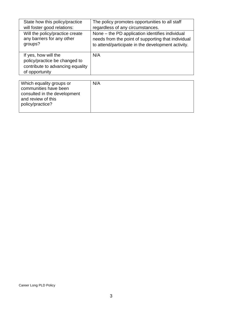| State how this policy/practice<br>will foster good relations:                                               | The policy promotes opportunities to all staff<br>regardless of any circumstances.                                                                          |
|-------------------------------------------------------------------------------------------------------------|-------------------------------------------------------------------------------------------------------------------------------------------------------------|
| Will the policy/practice create<br>any barriers for any other<br>groups?                                    | None – the PD application identifies individual<br>needs from the point of supporting that individual<br>to attend/participate in the development activity. |
| If yes, how will the<br>policy/practice be changed to<br>contribute to advancing equality<br>of opportunity | N/A                                                                                                                                                         |
|                                                                                                             |                                                                                                                                                             |
| Which equality groups or<br>communities have been<br>consulted in the development                           | N/A                                                                                                                                                         |

and review of this policy/practice?